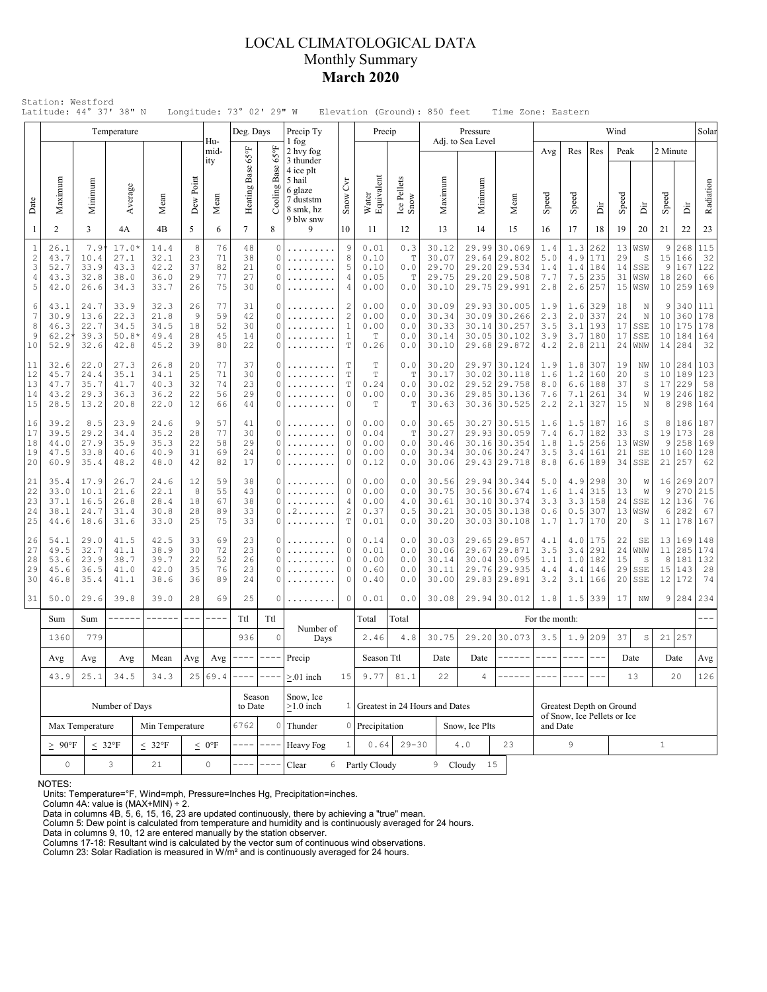### LOCAL CLIMATOLOGICAL DATA Monthly Summary **March 2020**

|                                      |                                      |                                            | Temperature                             |                                      |                            |                            | Deg. Days                             |                                          | Precip Ty                                                |                                                                  | Precip                                |                                 |                                           | Pressure                |                                                                              |                                 |                                 |                                          | Wind                       |                                  |                           |                                    | Solar                               |
|--------------------------------------|--------------------------------------|--------------------------------------------|-----------------------------------------|--------------------------------------|----------------------------|----------------------------|---------------------------------------|------------------------------------------|----------------------------------------------------------|------------------------------------------------------------------|---------------------------------------|---------------------------------|-------------------------------------------|-------------------------|------------------------------------------------------------------------------|---------------------------------|---------------------------------|------------------------------------------|----------------------------|----------------------------------|---------------------------|------------------------------------|-------------------------------------|
|                                      |                                      |                                            |                                         |                                      |                            | Hu-<br>mid-<br>ity         |                                       | $65^{\circ}$ F<br>Base                   | 1 fog<br>2 hvy fog<br>3 thunder<br>4 ice plt             |                                                                  |                                       |                                 |                                           | Adj. to Sea Level       |                                                                              | Avg                             | Res                             | Res                                      | Peak                       |                                  | 2 Minute                  |                                    |                                     |
| Date                                 | Maximum                              | Minimum                                    | Average                                 | Mean                                 | Dew Point                  | Mean                       | Heating Base 65°F                     | Cooling 1                                | 5 hail<br>6 glaze<br>7 duststm<br>8 smk, hz<br>9 blw snw | $\overline{C}$<br>Snow                                           | Water<br>Equivalent                   | Ice Pellets<br>Snow             | Maximum                                   | Minimum                 | Mean                                                                         | Speed                           | Speed                           | ă                                        | Speed                      | ă                                | Speed                     | İ                                  | Radiation                           |
| 1                                    | $\overline{2}$                       | 3                                          | 4A                                      | 4B                                   | 5                          | 6                          | $\tau$                                | 8                                        | 9                                                        | 10                                                               | 11                                    | 12                              | 13                                        | 14                      | 15                                                                           | 16                              | 17                              | 18                                       | 19                         | 20                               | 21                        | 22                                 | 23                                  |
| $\,1\,$<br>$\sqrt{2}$<br>3<br>4<br>5 | 26.1<br>43.7<br>52.7<br>43.3<br>42.0 | 7.9<br>10.4<br>33.9<br>32.8<br>26.6        | $17.0*$<br>27.1<br>43.3<br>38.0<br>34.3 | 14.4<br>32.1<br>42.2<br>36.0<br>33.7 | 8<br>23<br>37<br>29<br>26  | 76<br>71<br>82<br>77<br>75 | 48<br>38<br>21<br>27<br>30            | $\Omega$<br>$\circ$<br>$\circ$<br>O<br>0 | .<br>.                                                   | $\overline{9}$<br>8<br>5<br>4<br>$\overline{4}$                  | 0.01<br>0.10<br>0.10<br>0.05<br>0.00  | 0.3<br>T<br>0.0<br>T<br>0.0     | 30.12<br>30.07<br>29.70<br>29.75<br>30.10 | 29.99<br>29.64<br>29.20 | 30.069<br>29.802<br>29.20 29.534<br>29.508<br>29.75 29.991                   | 1.4<br>5.0<br>1.4<br>7.7<br>2.8 | 1.3<br>4.9<br>1.4<br>7.5<br>2.6 | 262<br>171<br>184<br>235<br>257          | 13<br>29<br>14<br>31<br>15 | WSW<br>S<br>SSE<br>WSW<br>WSW    | 9<br>15<br>9<br>18<br>10  | 268<br>166<br>167<br>260<br>259    | $1\,1\,5$<br>32<br>122<br>66<br>169 |
| 6<br>$\overline{7}$<br>8<br>9<br>10  | 43.1<br>30.9<br>46.3<br>62.2<br>52.9 | 24.7<br>13.6<br>22.7<br>39.3<br>32.6       | 33.9<br>22.3<br>34.5<br>$50.8*$<br>42.8 | 32.3<br>21.8<br>34.5<br>49.4<br>45.2 | 26<br>9<br>18<br>28<br>39  | 77<br>59<br>52<br>45<br>80 | 31<br>42<br>30<br>14<br>22            | O<br>0<br>O<br>$\circ$<br>O              | .                                                        | 2<br>$\sqrt{2}$<br>$\mathbf{1}$<br>$\mathbf{1}$<br>$\mathbf T$   | 0.00<br>0.00<br>0.00<br>T<br>0.26     | 0.0<br>0.0<br>0.0<br>0.0<br>0.0 | 30.09<br>30.34<br>30.33<br>30.14<br>30.10 |                         | 29.93 30.005<br>30.09 30.266<br>30.14 30.257<br>30.05 30.102<br>29.68 29.872 | 1.9<br>2.3<br>3.5<br>3.9<br>4.2 | 1.6<br>2.0<br>3.1<br>3.7<br>2.8 | 329<br>337<br>193<br>180<br> 211         | 18<br>24<br>17<br>17<br>24 | N<br>N<br>SSE<br>SSE<br>WNW      | 9<br>10<br>10<br>10<br>14 | 340<br>360<br>175<br>184<br>284    | 111<br>178<br>178<br>164<br>32      |
| 11<br>12<br>13<br>14<br>15           | 32.6<br>45.7<br>47.7<br>43.2<br>28.5 | 22.0<br>24.4<br>35.7<br>29.3<br>13.2       | 27.3<br>35.1<br>41.7<br>36.3<br>20.8    | 26.8<br>34.1<br>40.3<br>36.2<br>22.0 | 20<br>25<br>32<br>22<br>12 | 77<br>71<br>74<br>56<br>66 | 37<br>30<br>23<br>29<br>44            | 0<br>O<br>0<br>O<br>0                    |                                                          | T<br>$\mathbb T$<br>$\mathbb T$<br>$\circ$<br>$\circ$            | T<br>$\mathbf T$<br>0.24<br>0.00<br>Т | 0.0<br>T<br>0.0<br>0.0<br>Т     | 30.20<br>30.17<br>30.02<br>30.36<br>30.63 | 29.97                   | 30.124<br>30.02 30.118<br>29.52 29.758<br>29.85 30.136<br>30.36 30.525       | 1.9<br>1.6<br>8.0<br>7.6<br>2.2 | 1.8<br>1.2<br>6.6<br>7.1<br>2.1 | 307<br>160<br>188<br>261<br>327          | 19<br>20<br>37<br>34<br>15 | NW<br>S<br>$\mathbb S$<br>W<br>N | 10<br>10<br>17<br>19<br>8 | 284<br>189<br>229<br>246<br>298    | 103<br>123<br>58<br>182<br>164      |
| 16<br>17<br>18<br>19<br>20           | 39.2<br>39.5<br>44.0<br>47.5<br>60.9 | 8.5<br>29.2<br>27.9<br>33.8<br>35.4        | 23.9<br>34.4<br>35.9<br>40.6<br>48.2    | 24.6<br>35.2<br>35.3<br>40.9<br>48.0 | 9<br>28<br>22<br>31<br>42  | 57<br>77<br>58<br>69<br>82 | 41<br>30<br>29<br>24<br>17            | 0<br>$\circ$<br>O<br>0<br>0              | .                                                        | $\circ$<br>$\Omega$<br>$\circ$<br>$\circ$<br>$\Omega$            | 0.00<br>0.04<br>0.00<br>0.00<br>0.12  | 0.0<br>Т<br>0.0<br>0.0<br>0.0   | 30.65<br>30.27<br>30.46<br>30.34<br>30.06 | 30.06                   | 30.27 30.515<br>29.93 30.059<br>30.16 30.354<br>30.247<br>29.43 29.718       | 1.6<br>7.4<br>1.8<br>3.5<br>8.8 | 1.5<br>$6.7$<br>1.5<br>3.4      | 187<br>182<br>256<br> 161<br>$6.6$   189 | 16<br>33<br>21<br>34       | S<br>S<br>13 WSW<br>SE<br>SSE    | 8<br>19<br>9<br>21        | 186<br>173<br>258<br>10 160<br>257 | 187<br>28<br>169<br>128<br>62       |
| 21<br>22<br>23<br>24<br>25           | 35.4<br>33.0<br>37.1<br>38.1<br>44.6 | 17.9<br>10.1<br>16.5<br>24.7<br>18.6       | 26.7<br>21.6<br>26.8<br>31.4<br>31.6    | 24.6<br>22.1<br>28.4<br>30.8<br>33.0 | 12<br>8<br>18<br>28<br>25  | 59<br>55<br>67<br>89<br>75 | 38<br>43<br>38<br>33<br>33            | 0<br>$\Omega$<br>$\circ$<br>0<br>0       | . 2<br>.                                                 | 0<br>$\Omega$<br>$\overline{4}$<br>$\overline{c}$<br>$\mathbb T$ | 0.00<br>0.00<br>0.00<br>0.37<br>0.01  | 0.0<br>0.0<br>4.0<br>0.5<br>0.0 | 30.56<br>30.75<br>30.61<br>30.21<br>30.20 | 29.94<br>30.10<br>30.05 | 30.344<br>30.56 30.674<br>30.374<br>30.138<br>30.03 30.108                   | 5.0<br>1.6<br>3.3<br>0.6<br>1.7 | 4.9<br>1.4<br>3.3<br>0.5        | 298<br>315<br>158<br>307<br>$1.7$   170  | 30<br>13<br>24<br>13<br>20 | W<br>W<br>SSE<br>WSW<br>S        | 9<br>12<br>6<br>11        | 16 269<br>270<br>136<br>282<br>178 | 207<br>215<br>76<br>67<br>167       |
| 26<br>27<br>28<br>29<br>30           | 54.1<br>49.5<br>53.6<br>45.6<br>46.8 | 29.0<br>32.7<br>23.9<br>36.5<br>35.4       | 41.5<br>41.1<br>38.7<br>41.0<br>41.1    | 42.5<br>38.9<br>39.7<br>42.0<br>38.6 | 33<br>30<br>22<br>35<br>36 | 69<br>72<br>52<br>76<br>89 | 23<br>23<br>26<br>23<br>24            | O<br>0<br>O<br>0<br>O                    |                                                          | $\circ$<br>$\circ$<br>$\Omega$<br>$\circ$<br>$\circ$             | 0.14<br>0.01<br>0.00<br>0.60<br>0.40  | 0.0<br>0.0<br>0.0<br>0.0<br>0.0 | 30.03<br>30.06<br>30.14<br>30.11<br>30.00 | 29.67                   | 29.65 29.857<br>29.871<br>30.04 30.095<br>29.76 29.935<br>29.83 29.891       | 4.1<br>3.5<br>1.1<br>4.4<br>3.2 | 4.0<br>3.4<br>1.0<br>4.4<br>3.1 | 175<br>291<br>182<br>146<br>166          | 22<br>24<br>15<br>29<br>20 | SE<br>WNW<br>S<br>SSE<br>SSE     | 13<br>11<br>8<br>12       | 169<br>285<br>181<br>15 143<br>172 | 148<br>174<br>132<br>$2\,8$<br>74   |
| 31                                   | 50.0                                 | 29.6                                       | 39.8                                    | 39.0                                 | 28                         | 69                         | 25                                    | 0                                        |                                                          | 0                                                                | 0.01                                  | 0.0                             | 30.08                                     |                         | 29.94 30.012                                                                 | 1.8                             | 1.5                             | 339                                      | 17                         | NW                               | 9                         | 284                                | 234                                 |
|                                      | Sum                                  | Sum                                        | ------                                  | ------                               | $---$                      |                            | Ttl                                   | Ttl                                      | Number of                                                |                                                                  | Total                                 | Total                           |                                           |                         |                                                                              | For the month:                  |                                 |                                          |                            |                                  |                           |                                    |                                     |
|                                      | 1360                                 | 779                                        |                                         | Avg                                  |                            | 936<br>----                | $\circ$<br>$\cdots$ $\cdots$ $\cdots$ | Days                                     |                                                          | 2.46                                                             | 4.8                                   | 30.75                           |                                           | 29.20 30.073<br>------  | 3.5<br>$\frac{1}{2}$                                                         | 1.9<br>$\frac{1}{2}$            | 209<br>$- - -$                  | 37                                       | $\mathbb S$                | 21                               | 257                       |                                    |                                     |
|                                      | Avg<br>43.9                          | Avg<br>Avg<br>Mean<br>25.1<br>34.5<br>34.3 |                                         |                                      |                            | Avg                        |                                       |                                          | Precip<br>$> 01$ inch                                    | 15                                                               | Season Ttl<br>9.77                    | 81.1                            | Date<br>22                                | Date<br>4               |                                                                              |                                 |                                 |                                          |                            | Date<br>13                       |                           | Date<br>20                         | Avg<br>126                          |
|                                      | Number of Days                       |                                            |                                         |                                      |                            | 25 69.4                    |                                       | Season<br>to Date                        | Snow, Ice<br>$\geq$ 1.0 inch                             | $\mathbf{1}$                                                     |                                       | Greatest in 24 Hours and Dates  |                                           |                         | Greatest Depth on Ground<br>of Snow, Ice Pellets or Ice                      |                                 |                                 |                                          |                            |                                  |                           |                                    |                                     |
|                                      | Max Temperature<br>Min Temperature   |                                            |                                         |                                      |                            |                            | 6762                                  | $\mathbf 0$                              | Thunder                                                  |                                                                  | 0 Precipitation                       |                                 |                                           | Snow, Ice Plts          |                                                                              | and Date                        |                                 |                                          |                            |                                  |                           |                                    |                                     |
|                                      | $\geq~90^{\circ}F$                   |                                            | $\leq 32^{\circ}F$                      | $< 32^{\circ}F$                      |                            | $\leq 0$ °F                |                                       | $\qquad \qquad - - -$                    | Heavy Fog                                                | 1                                                                | 0.64                                  | $29 - 30$                       |                                           | 4.0<br>23               |                                                                              | 9                               |                                 |                                          | $\mathbf{1}$               |                                  |                           |                                    |                                     |
|                                      | $\mathsf{O}\xspace$                  |                                            | 3                                       | 21                                   |                            | 0                          |                                       |                                          | Clear<br>6                                               |                                                                  | Partly Cloudy                         |                                 | 9                                         | Cloudy<br>15            |                                                                              |                                 |                                 |                                          |                            |                                  |                           |                                    |                                     |

NOTES:

Units: Temperature=°F, Wind=mph, Pressure=Inches Hg, Precipitation=inches. Column 4A: value is (MAX+MIN) ÷ 2. Data in columns 4B, 5, 6, 15, 16, 23 are updated continuously, there by achieving a "true" mean.

Column 5: Dew point is calculated from temperature and humidity and is continuously averaged for 24 hours. Data in columns 9, 10, 12 are entered manually by the station observer.

Columns 17-18: Resultant wind is calculated by the vector sum of continuous wind observations. Column 23: Solar Radiation is measured in W/m² and is continuously averaged for 24 hours.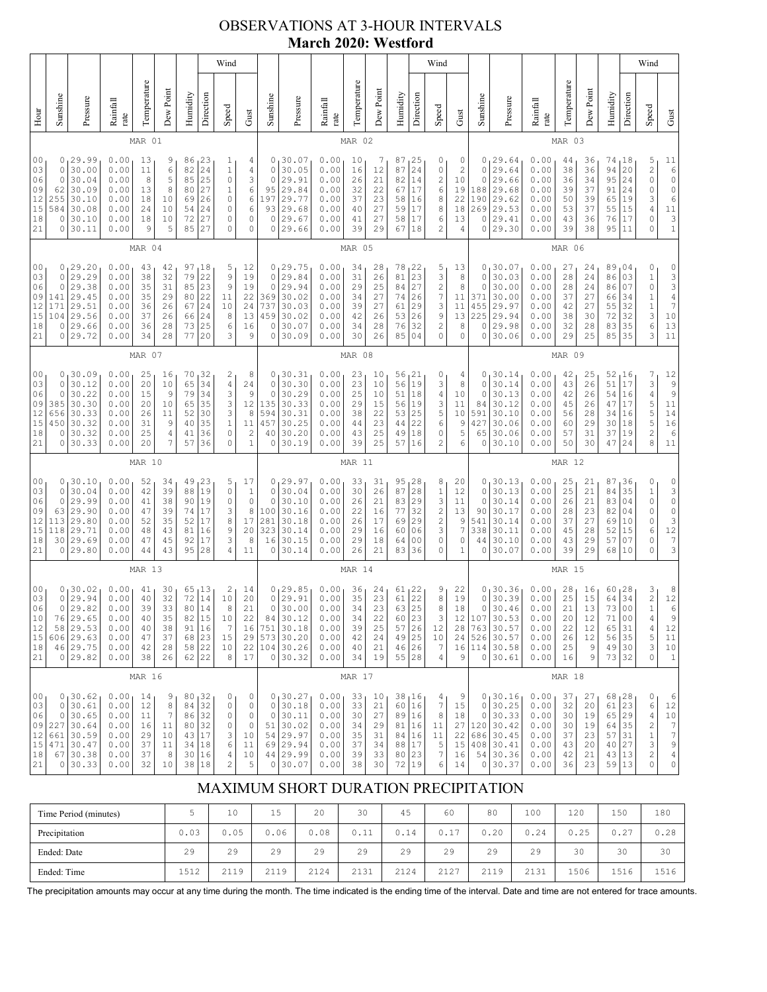## OBSERVATIONS AT 3-HOUR INTERVALS **March 2020: Westford**

|                                                          |                                                                                                                                                                                                                                                                                                                                                                                                                                                                            |                                                                                  |                                                              |                                              |                                              |                                                                                         |                                                                       | Wind                                                                                      |                                                                      |                                                              |                                                                                        |                                                              |                                              |                                              |                                                   |                                                            | Wind                                                                                         |                                                                      |                                                              |                                                                                    |                                                              |                                              |                                                  |                                                              |                                                                                                                         | Wind                                                                                    |                                                                                                           |
|----------------------------------------------------------|----------------------------------------------------------------------------------------------------------------------------------------------------------------------------------------------------------------------------------------------------------------------------------------------------------------------------------------------------------------------------------------------------------------------------------------------------------------------------|----------------------------------------------------------------------------------|--------------------------------------------------------------|----------------------------------------------|----------------------------------------------|-----------------------------------------------------------------------------------------|-----------------------------------------------------------------------|-------------------------------------------------------------------------------------------|----------------------------------------------------------------------|--------------------------------------------------------------|----------------------------------------------------------------------------------------|--------------------------------------------------------------|----------------------------------------------|----------------------------------------------|---------------------------------------------------|------------------------------------------------------------|----------------------------------------------------------------------------------------------|----------------------------------------------------------------------|--------------------------------------------------------------|------------------------------------------------------------------------------------|--------------------------------------------------------------|----------------------------------------------|--------------------------------------------------|--------------------------------------------------------------|-------------------------------------------------------------------------------------------------------------------------|-----------------------------------------------------------------------------------------|-----------------------------------------------------------------------------------------------------------|
| Hour                                                     | Sunshine                                                                                                                                                                                                                                                                                                                                                                                                                                                                   | Pressure                                                                         | Rainfall<br>rate                                             | Temperature                                  | Dew Point                                    | Humidity                                                                                | Direction                                                             | Speed                                                                                     | Gust                                                                 | Sunshine                                                     | Pressure                                                                               | Rainfall<br>rate                                             | Temperature                                  | Dew Point                                    | Humidity                                          | Direction                                                  | Speed                                                                                        | Gust                                                                 | Sunshine                                                     | Pressure                                                                           | Rainfall<br>rate                                             | Temperature                                  | Dew Point                                        | Humidity                                                     | Direction                                                                                                               | Speed                                                                                   | Gust                                                                                                      |
|                                                          |                                                                                                                                                                                                                                                                                                                                                                                                                                                                            |                                                                                  |                                                              | MAR 01                                       |                                              |                                                                                         |                                                                       |                                                                                           |                                                                      |                                                              |                                                                                        |                                                              | MAR 02                                       |                                              |                                                   |                                                            |                                                                                              |                                                                      |                                                              |                                                                                    |                                                              | MAR 03                                       |                                                  |                                                              |                                                                                                                         |                                                                                         |                                                                                                           |
| 00<br>03<br>06<br>09<br>12<br>15<br>18<br>21             | 0<br>29.99<br>0.00<br>23<br>13<br>9<br>86<br>1<br>24<br>0<br>$\mathbf{1}$<br>30.00<br>0.00<br>11<br>6<br>82<br>25<br>30.04<br>$\circ$<br>0<br>0.00<br>8<br>5<br>85<br>30.09<br>27<br>62<br>0.00<br>13<br>8<br>80<br>$\mathbf{1}$<br>255<br>30.10<br>26<br>$\mathbb O$<br>0.00<br>18<br>10<br>69<br>30.08<br>24<br>$\circ$<br>584<br>0.00<br>24<br>10<br>54<br>27<br>0<br>30.10<br>0.00<br>18<br>10<br>72<br>$\circ$<br>30.11<br>9<br>5<br>85<br>27<br>$\circ$<br>0<br>0.00 |                                                                                  |                                                              |                                              |                                              |                                                                                         | 4<br>4<br>3<br>6<br>6<br>6<br>0<br>$\circ$                            | 0<br>0<br>0<br>95<br>197<br>93<br>0<br>0                                                  | 30.07<br>30.05<br>29.91<br>29.84<br>29.77<br>29.68<br>29.67<br>29.66 | 0.00<br>0.00<br>0.00<br>0.00<br>0.00<br>0.00<br>0.00<br>0.00 | 10<br>16<br>26<br>32<br>37<br>40<br>41<br>39                                           | 7<br>12<br>21<br>22<br>23<br>27<br>27<br>29                  | 87<br>87<br>82<br>67<br>58<br>59<br>58<br>67 | 25<br>24<br>14<br>17<br>16<br>17<br>17<br>18 | 0<br>0<br>2<br>6<br>8<br>8<br>6<br>$\overline{c}$ | 0<br>2<br>10<br>19<br>22<br>18<br>13<br>4                  | 0<br>0<br>0<br>188<br>190<br>269<br>0<br>0                                                   | 29.64<br>29.64<br>29.66<br>29.68<br>29.62<br>29.53<br>29.41<br>29.30 | 0.00<br>0.00<br>0.00<br>0.00<br>0.00<br>0.00<br>0.00<br>0.00 | 44<br>38<br>36<br>39<br>50<br>53<br>43<br>39                                       | 36<br>36<br>34<br>37<br>39<br>37<br>36<br>38                 | 74<br>94<br>95<br>91<br>65<br>55<br>76<br>95 | 18 ا<br>20<br>24<br>24<br>19<br>15<br>17<br>11   | 5<br>$\overline{\mathbf{c}}$<br>0<br>0<br>3<br>4<br>0<br>0   | 11<br>$\epsilon$<br>$\mathsf{O}\xspace$<br>$\mathbb O$<br>$\epsilon$<br>$1\,1$<br>$\begin{array}{c} 3 \\ 1 \end{array}$ |                                                                                         |                                                                                                           |
|                                                          |                                                                                                                                                                                                                                                                                                                                                                                                                                                                            |                                                                                  |                                                              | MAR 04                                       |                                              |                                                                                         |                                                                       |                                                                                           |                                                                      |                                                              |                                                                                        |                                                              | MAR 05                                       |                                              |                                                   |                                                            |                                                                                              |                                                                      |                                                              |                                                                                    |                                                              | MAR 06                                       |                                                  |                                                              |                                                                                                                         |                                                                                         |                                                                                                           |
| 0 <sub>0</sub><br>03<br>06<br>09<br>12<br>15<br>18<br>21 | 0<br>0<br>141<br>171<br>104<br>0<br>0                                                                                                                                                                                                                                                                                                                                                                                                                                      | 0, 29.20<br>29.29<br>29.38<br>29.45<br>29.51<br>29.56<br>29.66<br>29.72          | 0.00<br>0.00<br>0.00<br>0.00<br>0.00<br>0.00<br>0.00<br>0.00 | 43<br>38<br>35<br>35<br>36<br>37<br>36<br>34 | 42<br>32<br>31<br>29<br>26<br>26<br>28<br>28 | 97<br>79<br>85<br>80<br>67<br>66<br>73<br>77                                            | 18<br>22<br>23<br>22<br>24<br>24<br>25<br>20                          | 5<br>$\mathcal{G}$<br>9<br>11<br>10<br>8<br>6<br>3                                        | 12<br>19<br>19<br>22<br>24<br>13<br>16<br>9                          | $\circ$<br>$\circ$<br>369<br>737<br>459<br>0<br>0            | 0, 29.75<br>29.84<br>29.94<br>30.02<br>30.03<br>30.02<br>30.07<br>30.09                | 0.00<br>0.00<br>0.00<br>0.00<br>0.00<br>0.00<br>0.00<br>0.00 | 34<br>31<br>29<br>34<br>39<br>42<br>34<br>30 | 28<br>26<br>25<br>27<br>27<br>26<br>28<br>26 | 78<br>81<br>84<br>74<br>61<br>53<br>76<br>85      | 122<br>23<br>27<br>26<br>29<br>26<br>32<br>04              | 5<br>3<br>$\overline{\mathbf{c}}$<br>7<br>3<br>9<br>$\overline{c}$<br>0                      | 13<br>8<br>8<br>$11\,$<br>11<br>13<br>8<br>0                         | 0<br>0<br>0<br>371<br>455<br>225<br>0<br>0                   | 30.07<br>30.03<br>30.00<br>30.00<br>29.97<br>29.94<br>29.98<br>30.06               | 0.00<br>0.00<br>0.00<br>0.00<br>0.00<br>0.00<br>0.00<br>0.00 | 27<br>28<br>28<br>37<br>42<br>38<br>32<br>29 | 24<br>24<br>24<br>27<br>27<br>30<br>28<br>25     | 89<br>86<br>86<br>66<br>55<br>72<br>83<br>85                 | 04<br>03<br>07<br>34<br>32<br>32<br>35<br>35                                                                            | 0<br>$\,1$<br>0<br>$\begin{array}{c} 1 \\ 1 \\ 3 \end{array}$<br>6<br>3                 | 0<br>$\frac{3}{3}$<br>$\overline{4}$<br>$\overline{7}$<br>$10$<br>$\begin{array}{c} 13 \\ 11 \end{array}$ |
|                                                          | MAR 07                                                                                                                                                                                                                                                                                                                                                                                                                                                                     |                                                                                  |                                                              |                                              |                                              |                                                                                         |                                                                       |                                                                                           |                                                                      |                                                              | MAR 08                                                                                 |                                                              |                                              |                                              |                                                   |                                                            |                                                                                              |                                                                      |                                                              | MAR 09                                                                             |                                                              |                                              |                                                  |                                                              |                                                                                                                         |                                                                                         |                                                                                                           |
| 00<br>03<br>06<br>09<br>12<br>15<br>18<br>21             | $\circ$<br>0<br>385<br>656<br>450<br>0<br>0                                                                                                                                                                                                                                                                                                                                                                                                                                | 0, 30.09<br>30.12<br>30.22<br>30.30<br>30.33<br>30.32<br>30.32<br>30.33          | 0.00<br>0.00<br>0.00<br>0.00<br>0.00<br>0.00<br>0.00<br>0.00 | 25<br>20<br>15<br>20<br>26<br>31<br>25<br>20 | 16<br>10<br>9<br>10<br>11<br>9<br>4<br>7     | 70<br>65<br>79<br>65<br>52<br>40<br>41<br>57                                            | 32<br>34<br>34<br>35<br>30<br>35<br>36<br>36                          | 2<br>$\sqrt{4}$<br>$\ensuremath{\mathsf{3}}$<br>3<br>3<br>$\,1\,$<br>0<br>$\mathbf 0$     | 8<br>24<br>9<br>12<br>8<br>11<br>$\sqrt{2}$<br>$\mathbf{1}$          | $\circ$<br>0<br>135<br>594<br>457<br>40<br>0                 | 0, 30.31<br>30.30<br>30.29<br>30.33<br>30.31<br>30.25<br>30.20<br>30.19                | 0.00<br>0.00<br>0.00<br>0.00<br>0.00<br>0.00<br>0.00<br>0.00 | 23<br>23<br>25<br>29<br>38<br>44<br>43<br>39 | 10<br>10<br>10<br>15<br>22<br>23<br>25<br>25 | 56, 21<br>56<br>51<br>56<br>53<br>44<br>49<br>57  | 19<br>18<br>19<br>25<br>22<br>18<br>16                     | 0<br>3<br>4<br>3<br>5<br>6<br>0<br>$\overline{c}$                                            | 4<br>8<br>10<br>11<br>10<br>9<br>5<br>6                              | 0<br>0<br>84<br>591<br>427<br>65<br>0                        | 0, 30.14<br>30.14<br>30.13<br>30.12<br>30.10<br>30.06<br>30.06<br>30.10            | 0.00<br>0.00<br>0.00<br>0.00<br>0.00<br>0.00<br>0.00<br>0.00 | 42<br>43<br>42<br>45<br>56<br>60<br>57<br>50 | 25<br>26<br>26<br>26<br>28<br>29<br>31<br>30     | 52,16<br>51<br>54<br>47<br>34<br>30<br>37<br>47              | 17<br>16<br>17<br>16<br>18<br>19<br>24                                                                                  | 7<br>3<br>4<br>5<br>5<br>5<br>5<br>$\overline{c}$<br>8                                  | 12<br>$\begin{array}{c} 9 \\ 9 \end{array}$<br>$1\,1$<br>14<br>16<br>$\epsilon$<br>11                     |
|                                                          |                                                                                                                                                                                                                                                                                                                                                                                                                                                                            |                                                                                  |                                                              | MAR 10                                       |                                              |                                                                                         |                                                                       |                                                                                           |                                                                      |                                                              |                                                                                        |                                                              | MAR 11                                       |                                              |                                                   |                                                            |                                                                                              |                                                                      |                                                              |                                                                                    |                                                              | MAR 12                                       |                                                  |                                                              |                                                                                                                         |                                                                                         |                                                                                                           |
| 00<br>03<br>06<br>09<br>12<br>15<br>18<br>21             | 0<br>0<br>63<br>113<br>118<br>30                                                                                                                                                                                                                                                                                                                                                                                                                                           | 0, 30.10<br>30.04<br>29.99<br>29.90<br>29.80<br>29.71<br>29.69<br>0 29.80        | 0.00<br>0.00<br>0.00<br>0.00<br>0.00<br>0.00<br>0.00<br>0.00 | 52<br>42<br>41<br>47<br>52<br>48<br>47<br>44 | 34<br>39<br>38<br>39<br>35<br>43<br>45<br>43 | 49<br>88<br>90<br>74<br>52<br>81<br>92<br>95                                            | 23 ا<br>19<br>19<br>17<br>17<br>16<br>17<br>28                        | 5<br>$\circ$<br>0<br>3<br>8<br>$\mathsf 9$<br>3<br>4                                      | 17<br>$\mathbf{1}$<br>$\mathbb O$<br>8<br>17<br>20<br>8<br>11        | $\circ$<br>0<br>100<br>281<br>323<br>16<br>0                 | 0, 29.97<br>30.04<br>30.10<br>30.16<br>30.18<br>30.14<br>30.15<br>30.14                | 0.00<br>0.00<br>0.00<br>0.00<br>0.00<br>0.00<br>0.00<br>0.00 | 33<br>30<br>26<br>22<br>26<br>29<br>29<br>26 | 31<br>26<br>21<br>16<br>17<br>16<br>18<br>21 | 95<br>87<br>83<br>77<br>69<br>60<br>64<br>83      | 28 ر<br>28<br>29<br>32<br>29<br>06<br>0 <sub>0</sub><br>36 | 8<br>$\mathbf{1}$<br>3<br>$\overline{\mathcal{L}}$<br>$\overline{\mathbf{c}}$<br>3<br>0<br>0 | 20<br>12<br>11<br>13<br>9<br>$\overline{7}$<br>0<br>1                | 0<br>0<br>0<br>90<br>541<br>338<br>44<br>0                   | 30.13<br>30.13<br>30.14<br>30.17<br>30.14<br>30.11<br>30.10<br>30.07               | 0.00<br>0.00<br>0.00<br>0.00<br>0.00<br>0.00<br>0.00<br>0.00 | 25<br>25<br>26<br>28<br>37<br>45<br>43<br>39 | 21<br>21<br>21<br>23<br>27<br>28<br>29<br>29     | 87<br>84<br>83<br>82<br>69<br>52<br>57<br>68                 | 36<br>35<br>04<br>04<br>10<br>15<br>07<br>10                                                                            | 0<br>$\,1$<br>0<br>0<br>0<br>6<br>0<br>0                                                | $\frac{0}{3}$<br>$\circ$<br>$\circ$<br>3<br>$\begin{array}{c}\n 12 \\  7 \\  3\n \end{array}$             |
|                                                          |                                                                                                                                                                                                                                                                                                                                                                                                                                                                            | MAR 13                                                                           |                                                              |                                              |                                              |                                                                                         |                                                                       |                                                                                           |                                                                      |                                                              | MAR 14                                                                                 |                                                              |                                              |                                              |                                                   |                                                            |                                                                                              |                                                                      |                                                              | MAR 15                                                                             |                                                              |                                              |                                                  |                                                              |                                                                                                                         |                                                                                         |                                                                                                           |
| 00<br>03<br>06<br>10<br>12<br>$1\,5$<br>18<br>21         | 0<br>0<br>76<br>58                                                                                                                                                                                                                                                                                                                                                                                                                                                         | 0, 30.02<br>29.94<br>29.82<br>29.65<br>29.53<br>606 29.63<br>46 29.75<br>0 29.82 | 0.00<br>0.00<br>0.00<br>0.00<br>0.00<br>0.00<br>0.00<br>0.00 | 41<br>40<br>39<br>40<br>40<br>47<br>42<br>38 | 30<br>32<br>33<br>35<br>38<br>37<br>28<br>26 | 65<br>72<br>80<br>82<br>$\begin{array}{c c} 91 & 16 \\ 68 & 23 \end{array}$<br>58<br>62 | 13<br>14<br>14<br>15<br>$2\sqrt{2}$<br>22                             | 2<br>10<br>8<br>$10$<br>$\boldsymbol{7}$<br>15<br>10<br>8                                 | 14<br>20<br>21<br>22<br>16<br>29<br>22<br>17                         | 0<br>$\mathbb O$<br>84<br>751<br>0                           | 0, 29.85<br>29.91<br>30.00<br>30.12<br>30.18<br>$573 \mid 30.20$<br>104 30.26<br>30.32 | 0.00<br>0.00<br>0.00<br>0.00<br>0.00<br>0.00<br>0.00<br>0.00 | 36<br>35<br>34<br>34<br>39<br>42<br>40<br>34 | 24<br>23<br>23<br>22<br>25<br>24<br>21<br>19 | 61<br>61<br>63<br>60<br>57<br>49<br>46<br>55 28   | 22 ر<br>22<br>25<br>23<br>$26$<br> 25<br>26                | 9<br>8<br>8<br>3<br>$1\,2$<br>$10$<br>7<br>4                                                 | 22<br>19<br>18<br>12<br>28<br>9                                      | 0<br>0<br>0<br>107<br>763<br>$\circ$                         | 30.36<br>30.39<br>30.46<br>30.53<br>30.57<br>24 526 30.57<br>16 114 30.58<br>30.61 | 0.00<br>0.00<br>0.00<br>0.00<br>0.00<br>0.00<br>0.00<br>0.00 | 28<br>25<br>21<br>20<br>22<br>26<br>25<br>16 | 16<br>15<br>13<br>12<br>$1\,2$<br>$12$<br>9<br>9 | 60, 28<br>64<br>73<br>71<br>65<br>56 35<br>49 30<br>73 32    | 34<br>0 <sub>0</sub><br>0 <sub>0</sub><br>31                                                                            | 3<br>$\overline{\mathbf{c}}$<br>$\mathbf{1}$<br>4<br>$\overline{4}$<br>5<br>3<br>0      | 8<br>12<br>$\epsilon$<br>9<br>$12\,$<br>11<br>10<br>$1\,$                                                 |
|                                                          |                                                                                                                                                                                                                                                                                                                                                                                                                                                                            |                                                                                  |                                                              | MAR 16                                       |                                              |                                                                                         |                                                                       |                                                                                           |                                                                      |                                                              |                                                                                        |                                                              | MAR 17                                       |                                              |                                                   |                                                            |                                                                                              |                                                                      |                                                              |                                                                                    |                                                              | MAR 18                                       |                                                  |                                                              |                                                                                                                         |                                                                                         |                                                                                                           |
| 00<br>03<br>06<br>09<br>12<br>15<br>18<br>21             | 0<br>$\circ$<br>227<br>661<br>471<br>$\circ$                                                                                                                                                                                                                                                                                                                                                                                                                               | 0, 30.62<br>30.61<br>30.65<br>30.64<br>30.59<br>30.47<br>67 30.38<br>30.33       | 0.00<br>0.00<br>0.00<br>0.00<br>0.00<br>0.00<br>0.00<br>0.00 | 14<br>12<br>11<br>16<br>29<br>37<br>37<br>32 | 9<br>8<br>7<br>11<br>10<br>11<br>8<br>10     | 80<br>84<br>86<br>80<br>43 17<br>34<br>30<br>38                                         | $\begin{array}{r} 32 \\ 32 \end{array}$<br>32<br>32<br>18<br>16<br>18 | 0<br>$\circ$<br>$\circ$<br>$\circ$<br>3<br>$\epsilon$<br>$\overline{4}$<br>$\overline{c}$ | 0<br>$\mathbb O$<br>$\mathbb O$<br>$\circ$<br>$10$<br>11<br>10<br>5  | $\circ$<br>$\mathbb O$<br>51<br>54<br>69<br>0                | 0, 30.27<br>30.18<br>30.11<br>30.02<br>29.97<br>29.94<br>44 29.99<br>30.07             | 0.00<br>0.00<br>0.00<br>0.00<br>0.00<br>0.00<br>0.00<br>0.00 | 33<br>33<br>30<br>34<br>35<br>37<br>39<br>38 | 10<br>21<br>27<br>29<br>31<br>34<br>33<br>30 | 38<br>60<br>89<br>81<br>84<br>88<br>80<br>72      | լ16<br>16<br>16<br>16<br>16<br>17<br>23<br> 19             | 4<br>$\boldsymbol{7}$<br>$\,$ 8 $\,$<br>$1\,1$<br>11<br>$\mathsf S$<br>7<br>6                | 9<br>15<br>18<br>27<br>22<br>15<br>16<br>14                          | 0<br>0<br>$\circ$<br>686<br>408                              | 130.16<br>30.25<br>30.33<br>120 30.42<br>30.45<br>30.41<br>54 30.36<br>0 30.37     | 0.00<br>0.00<br>0.00<br>0.00<br>0.00<br>0.00<br>0.00<br>0.00 | 37<br>32<br>30<br>30<br>37<br>43<br>42<br>36 | 27<br>20<br>19<br>19<br>23<br>20<br>21<br>23     | 68, 28<br>61<br>65<br>64<br>57 31<br>40 27<br>43 13<br>59 13 | 23<br>29<br>35                                                                                                          | 0<br>6<br>$\overline{4}$<br>$\begin{array}{c} 2 \\ 1 \end{array}$<br>$\frac{3}{2}$<br>0 | 6<br>12<br>$10$<br>$\frac{7}{7}$<br>9<br>$\sqrt{4}$<br>0                                                  |

# MAXIMUM SHORT DURATION PRECIPITATION

| Time Period (minutes) |      | 10   | 1 E<br>∸ | 20   | 30   | 45   | 60   | 80   | 100  | 120  | 150  | 180  |
|-----------------------|------|------|----------|------|------|------|------|------|------|------|------|------|
| Precipitation         | 0.03 | 0.05 | 0.06     | 0.08 | 0.11 | 0.14 | 0.17 | 0.20 | 0.24 | 0.25 | 0.27 | 0.28 |
| Ended: Date           | 29   | 29   | 29       | 29   | 29   | 29   | 29   | 29   | 29   | 30   | 30   | 30   |
| Ended: Time           | 1512 | 2119 | 2119     | 2124 | 2131 | 2124 | 2127 | 2119 | 2131 | 1506 | 1516 | 1516 |

The precipitation amounts may occur at any time during the month. The time indicated is the ending time of the interval. Date and time are not entered for trace amounts.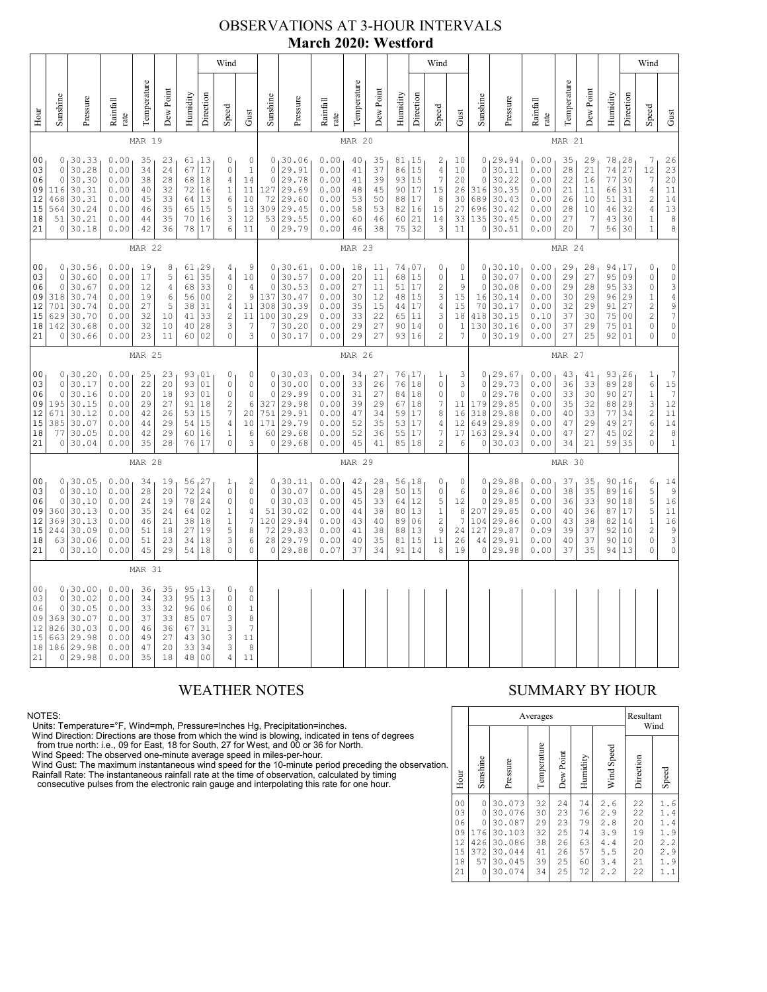### OBSERVATIONS AT 3-HOUR INTERVALS **March 2020: Westford**

|                                              | Wind                                                                                                                                                                                                                                                                                                                                                                                                                                                                                                                     |                                                                           |                                                              |                                              |                                              |                                                             |                                                                         |                                                                                                  |                                                                                                         |                                                                           |                                                                         |                                                              |                                                                 |                                              |                                                           |                                                                         | Wind                                                                                                         |                                                    |                                                           |                                                                         |                                                              |                                                                                                |                                                                          |                                                  |                                                    | Wind                                                                                                                                                                                                 |                                                                                                        |
|----------------------------------------------|--------------------------------------------------------------------------------------------------------------------------------------------------------------------------------------------------------------------------------------------------------------------------------------------------------------------------------------------------------------------------------------------------------------------------------------------------------------------------------------------------------------------------|---------------------------------------------------------------------------|--------------------------------------------------------------|----------------------------------------------|----------------------------------------------|-------------------------------------------------------------|-------------------------------------------------------------------------|--------------------------------------------------------------------------------------------------|---------------------------------------------------------------------------------------------------------|---------------------------------------------------------------------------|-------------------------------------------------------------------------|--------------------------------------------------------------|-----------------------------------------------------------------|----------------------------------------------|-----------------------------------------------------------|-------------------------------------------------------------------------|--------------------------------------------------------------------------------------------------------------|----------------------------------------------------|-----------------------------------------------------------|-------------------------------------------------------------------------|--------------------------------------------------------------|------------------------------------------------------------------------------------------------|--------------------------------------------------------------------------|--------------------------------------------------|----------------------------------------------------|------------------------------------------------------------------------------------------------------------------------------------------------------------------------------------------------------|--------------------------------------------------------------------------------------------------------|
| Hour                                         | Sunshine                                                                                                                                                                                                                                                                                                                                                                                                                                                                                                                 | Pressure                                                                  | Rainfall<br>rate                                             | Temperature                                  | Dew Point                                    | Humidity                                                    | Direction                                                               | Speed                                                                                            | Gust                                                                                                    | Sunshine                                                                  | Pressure                                                                | Rainfall<br>rate                                             | Temperature                                                     | Dew Point                                    | Humidity                                                  | Direction                                                               | Speed                                                                                                        | Gust                                               | Sunshine                                                  | Pressure                                                                | Rainfall<br>rate                                             | Temperature                                                                                    | Dew Point                                                                | Humidity                                         | Direction                                          | Speed                                                                                                                                                                                                | Gust                                                                                                   |
|                                              |                                                                                                                                                                                                                                                                                                                                                                                                                                                                                                                          |                                                                           |                                                              | MAR 19                                       |                                              |                                                             |                                                                         |                                                                                                  |                                                                                                         |                                                                           |                                                                         |                                                              | <b>MAR 20</b>                                                   |                                              |                                                           |                                                                         |                                                                                                              |                                                    |                                                           |                                                                         |                                                              | MAR 21                                                                                         |                                                                          |                                                  |                                                    |                                                                                                                                                                                                      |                                                                                                        |
| 00<br>03<br>06<br>09<br>12<br>15<br>18<br>21 | 0.00<br>0, 30.33<br>35<br>61, 13<br>0<br>0<br>23<br>17<br>30.28<br>0.00<br>24<br>$\mathbb O$<br>$\,1\,$<br>0<br>34<br>67<br>$\circ$<br>30.30<br>0.00<br>28<br>68<br>18<br>$\sqrt{4}$<br>38<br>14<br>116<br>30.31<br>0.00<br>32<br>72<br>16<br>$\mathbf{1}$<br>11<br>40<br>13<br>$\epsilon$<br>468<br>30.31<br>0.00<br>33<br>64<br>10<br>45<br>5<br>564<br>30.24<br>0.00<br>35<br>15<br>13<br>65<br>46<br>51<br>30.21<br>0.00<br>35<br>70<br>16<br>3<br>12<br>44<br>36<br>78<br>17<br>6<br>11<br>30.18<br>0.00<br>42<br>0 |                                                                           |                                                              |                                              |                                              | $\circ$<br>$\circ$<br>127<br>72<br>309<br>53<br>$\mathbb O$ | 0, 30.06<br>29.91<br>29.78<br>29.69<br>29.60<br>29.45<br>29.55<br>29.79 | 0.00<br>0.00<br>0.00<br>0.00<br>0.00<br>0.00<br>0.00<br>0.00                                     | 40<br>41<br>41<br>48<br>53<br>58<br>60<br>46                                                            | 35<br>37<br>39<br>45<br>50<br>53<br>46<br>38                              | 86<br>93<br>90<br>88<br>82<br>60<br>75                                  | 81, 15<br>15<br>15<br>17<br>17<br>16<br>21<br>32             | 2<br>$\sqrt{4}$<br>$\boldsymbol{7}$<br>15<br>8<br>15<br>14<br>3 | 10<br>10<br>20<br>26<br>30<br>27<br>33<br>11 | $\circ$<br>$\circ$<br>316<br>689<br>696<br>135<br>$\circ$ | 0, 29.94<br>30.11<br>30.22<br>30.35<br>30.43<br>30.42<br>30.45<br>30.51 | 0.00<br>0.00<br>0.00<br>0.00<br>0.00<br>0.00<br>0.00<br>0.00                                                 | 35<br>28<br>22<br>21<br>26<br>28<br>27<br>20       | 29<br>21<br>16<br>11<br>10<br>10<br>7<br>7                | 78<br>74<br>77<br>66<br>51<br>46<br>43<br>56                            | 128<br>27<br>30<br>31<br>31<br>32<br>30<br>30                | 7<br>12<br>$\boldsymbol{7}$<br>$\sqrt{4}$<br>$\sqrt{2}$<br>$\sqrt{4}$<br>$1\,$<br>$\mathbf{1}$ | 26<br>23<br>20<br>11<br>14<br>13<br>$\begin{matrix} 8 \\ 8 \end{matrix}$ |                                                  |                                                    |                                                                                                                                                                                                      |                                                                                                        |
|                                              |                                                                                                                                                                                                                                                                                                                                                                                                                                                                                                                          |                                                                           |                                                              | <b>MAR 22</b>                                |                                              |                                                             |                                                                         |                                                                                                  |                                                                                                         |                                                                           |                                                                         |                                                              | MAR 23                                                          |                                              |                                                           |                                                                         |                                                                                                              |                                                    |                                                           |                                                                         |                                                              | MAR 24                                                                                         |                                                                          |                                                  |                                                    |                                                                                                                                                                                                      |                                                                                                        |
| 00<br>03<br>06<br>09<br>12<br>15<br>18<br>21 | $\circ$<br>$\circ$<br>318<br>701<br>629<br>142<br>0                                                                                                                                                                                                                                                                                                                                                                                                                                                                      | 0, 30.56<br>30.60<br>30.67<br>30.74<br>30.74<br>30.70<br>30.68<br>30.66   | 0.00<br>0.00<br>0.00<br>0.00<br>0.00<br>0.00<br>0.00<br>0.00 | 19<br>17<br>12<br>19<br>27<br>32<br>32<br>23 | 8<br>5<br>4<br>6<br>5<br>10<br>10<br>11      | 61<br>68<br>56<br>38<br>41<br>40<br>60                      | 61 29<br>35<br>33<br>0 <sub>0</sub><br>31<br>33<br>28<br>02             | 4<br>$\sqrt{4}$<br>$\circ$<br>$\sqrt{2}$<br>$\sqrt{4}$<br>$\overline{c}$<br>3<br>$\mathbf{0}$    | 9<br>$1\,0$<br>$\sqrt{4}$<br>$\mathsf 9$<br>11<br>$1\,1$<br>$\overline{7}$<br>3                         | 0<br>$\circ$<br>$\circ$<br>137<br>308<br>100<br>$\overline{7}$<br>$\circ$ | 130.61<br>30.57<br>30.53<br>30.47<br>30.39<br>30.29<br>30.20<br>30.17   | 0.00<br>0.00<br>0.00<br>0.00<br>0.00<br>0.00<br>0.00<br>0.00 | 18<br>20<br>27<br>30<br>35<br>33<br>29<br>29                    | 11<br>11<br>11<br>12<br>15<br>22<br>27<br>27 | 74<br>68<br>51<br>48<br>44<br>65<br>90<br>93              | 107<br>15<br>17<br>15<br>17<br>11<br>14<br>16                           | 0<br>$\mathbb O$<br>$\sqrt{2}$<br>3<br>$\sqrt{4}$<br>3<br>$\mathbb O$<br>$\overline{c}$                      | 0<br>$\mathbf{1}$<br>9<br>15<br>15<br>18<br>1<br>7 | $\circ$<br>$\circ$<br>16<br>70<br>418<br>130<br>0         | 0, 30.10<br>30.07<br>30.08<br>30.14<br>30.17<br>30.15<br>30.16<br>30.19 | 0.00<br>0.00<br>0.00<br>0.00<br>0.00<br>0.10<br>0.00<br>0.00 | 29<br>29<br>29<br>30<br>32<br>37<br>37<br>27                                                   | 28<br>27<br>28<br>29<br>29<br>30<br>29<br>25                             | 94,17<br>95<br>95<br>96<br>91<br>75<br>75<br>92  | 09<br>33<br>29<br>27<br>0 <sub>0</sub><br>01<br>01 | 0<br>$\mathbb O$<br>$\mathsf O$<br>$\,1\,$<br>$\overline{c}$<br>$\overline{c}$<br>$\circ$<br>0                                                                                                       | 003497<br>$\mathbb O$<br>$\mathbb O$                                                                   |
|                                              | MAR 25                                                                                                                                                                                                                                                                                                                                                                                                                                                                                                                   |                                                                           |                                                              |                                              |                                              |                                                             |                                                                         |                                                                                                  |                                                                                                         |                                                                           |                                                                         | <b>MAR 26</b>                                                |                                                                 |                                              |                                                           |                                                                         |                                                                                                              |                                                    |                                                           |                                                                         | MAR 27                                                       |                                                                                                |                                                                          |                                                  |                                                    |                                                                                                                                                                                                      |                                                                                                        |
| 00<br>03<br>06<br>09<br>12<br>15<br>18<br>21 | $\circ$<br>$\circ$<br>195<br>671<br>385<br>77<br>$\circ$                                                                                                                                                                                                                                                                                                                                                                                                                                                                 | 0, 30.20<br>30.17<br>30.16<br>30.15<br>30.12<br>30.07<br>30.05<br>30.04   | 0.00<br>0.00<br>0.00<br>0.00<br>0.00<br>0.00<br>0.00<br>0.00 | 25<br>22<br>20<br>29<br>42<br>44<br>42<br>35 | 23<br>20<br>18<br>27<br>26<br>29<br>29<br>28 | 93<br>93<br>91<br>53<br>54<br>60<br>76                      | 93 01<br>01<br>01<br>18<br>15<br>15<br>16<br>17                         | 0<br>$\circ$<br>$\mathbf{0}$<br>$\sqrt{2}$<br>$\boldsymbol{7}$<br>$\sqrt{4}$<br>$1\,$<br>$\circ$ | 0<br>$\mathbb O$<br>$\mathbb O$<br>$\epsilon$<br>20<br>10<br>6<br>3                                     | $\circ$<br>$\circ$<br>327<br>751<br>171<br>60<br>$\circ$                  | 0, 30.03<br>30.00<br>29.99<br>29.98<br>29.91<br>29.79<br>29.68<br>29.68 | 0.00<br>0.00<br>0.00<br>0.00<br>0.00<br>0.00<br>0.00<br>0.00 | 34<br>33<br>31<br>39<br>47<br>52<br>52<br>45                    | 27<br>26<br>27<br>29<br>34<br>35<br>36<br>41 | 76<br>84<br>67<br>59<br>53<br>55<br>85                    | 76, 17<br>18<br>18<br>18<br>17<br>17<br>17<br>18                        | 1<br>$\mathbb O$<br>$\mathbb O$<br>$\boldsymbol{7}$<br>8<br>$\sqrt{4}$<br>$\boldsymbol{7}$<br>$\overline{c}$ | 3<br>3<br>$\circ$<br>11<br>16<br>12<br>17<br>6     | $\circ$<br>$\circ$<br>179<br>318<br>649<br>163<br>$\circ$ | 0, 29.67<br>29.73<br>29.78<br>29.85<br>29.88<br>29.89<br>29.94<br>30.03 | 0.00<br>0.00<br>0.00<br>0.00<br>0.00<br>0.00<br>0.00<br>0.00 | 43<br>36<br>33<br>35<br>40<br>47<br>47<br>34                                                   | 41<br>33<br>30<br>32<br>33<br>29<br>27<br>21                             | 93, 26<br>89<br>90<br>88<br>77<br>49<br>45<br>59 | 28<br>27<br>29<br>34<br>27<br>02<br>35             | $\mathbf{1}$<br>$6$ 1<br>3<br>$\overline{\mathbf{c}}$<br>$\epsilon$<br>$\mathfrak{2}% _{T}=\mathfrak{2}_{T}\!\left( a,b\right) ,\ \mathfrak{2}_{T}=\mathfrak{2}_{T}\!\left( a,b\right) ,$<br>$\circ$ | $7\phantom{.0}$<br>$\begin{array}{c} 15 \\ 7 \end{array}$<br>$12$<br>11<br>14<br>8<br>$\mathbf 1$      |
|                                              |                                                                                                                                                                                                                                                                                                                                                                                                                                                                                                                          |                                                                           |                                                              | <b>MAR 28</b>                                |                                              |                                                             |                                                                         |                                                                                                  |                                                                                                         |                                                                           |                                                                         |                                                              | <b>MAR 29</b>                                                   |                                              |                                                           |                                                                         |                                                                                                              |                                                    |                                                           |                                                                         |                                                              | MAR 30                                                                                         |                                                                          |                                                  |                                                    |                                                                                                                                                                                                      |                                                                                                        |
| 00<br>03<br>06<br>09<br>12<br>15<br>18<br>21 | $\circ$<br>$\circ$<br>360<br>369<br>244<br>63<br>0                                                                                                                                                                                                                                                                                                                                                                                                                                                                       | 0, 30.05<br>30.10<br>30.10<br>30.13<br>30.13<br>30.09<br>30.06<br>30.10   | 0.00<br>0.00<br>0.00<br>0.00<br>0.00<br>0.00<br>0.00<br>0.00 | 34<br>28<br>24<br>35<br>46<br>51<br>51<br>45 | 19<br>20<br>19<br>24<br>21<br>18<br>23<br>29 | 56<br>72<br>78<br>64<br>38<br>27<br>34<br>54                | 27<br>24<br>24<br>02<br>18<br>19<br>18<br>18                            | 1<br>$\circ$<br>$\circ$<br>$\mathbf 1$<br>$\,1$<br>5<br>3<br>$\Omega$                            | $\sqrt{2}$<br>$\mathbb O$<br>$\mathbb O$<br>$\overline{4}$<br>$\boldsymbol{7}$<br>8<br>6<br>$\mathbf 0$ | 0<br>$\circ$<br>$\circ$<br>51<br>120<br>72<br>28<br>0                     | 30.11<br>30.07<br>30.03<br>30.02<br>29.94<br>29.83<br>29.79<br>29.88    | 0.00<br>0.00<br>0.00<br>0.00<br>0.00<br>0.00<br>0.00<br>0.07 | 42<br>45<br>45<br>44<br>43<br>41<br>40<br>37                    | 28<br>28<br>33<br>38<br>40<br>38<br>35<br>34 | 56<br>50<br>64<br>80<br>89<br>88<br>81<br>91              | 18<br>15<br>12<br>13<br>06<br>13<br>15<br>14                            | 0<br>$\mathbb O$<br>5<br>$1\,$<br>$\sqrt{2}$<br>9<br>11<br>8                                                 | 0<br>6<br>12<br>8<br>7<br>24<br>26<br>19           | $\circ$<br>$\circ$<br>207<br>104<br>127<br>44<br>0        | 0, 29.88<br>29.86<br>29.85<br>29.85<br>29.86<br>29.87<br>29.91<br>29.98 | 0.00<br>0.00<br>0.00<br>0.00<br>0.00<br>0.09<br>0.00<br>0.00 | 37<br>38<br>36<br>40<br>43<br>39<br>40<br>37                                                   | 35<br>35<br>33<br>36<br>38<br>37<br>37<br>35                             | 90<br>89<br>90<br>87<br>82<br>92<br>90<br>94     | 16 ر<br>16<br>18<br>17<br>14<br>10<br>10<br>13     | 6<br>5<br>$\frac{5}{5}$<br>$\,1$<br>$\overline{c}$<br>$\circ$<br>0                                                                                                                                   | $\begin{array}{c} 14 \\ 9 \\ 16 \end{array}$<br>11<br>16<br>$\begin{array}{c} 9 \\ 3 \\ 0 \end{array}$ |
|                                              |                                                                                                                                                                                                                                                                                                                                                                                                                                                                                                                          |                                                                           |                                                              | MAR 31                                       |                                              |                                                             |                                                                         |                                                                                                  |                                                                                                         |                                                                           |                                                                         |                                                              |                                                                 |                                              |                                                           |                                                                         |                                                                                                              |                                                    |                                                           |                                                                         |                                                              |                                                                                                |                                                                          |                                                  |                                                    |                                                                                                                                                                                                      |                                                                                                        |
| 00<br>03<br>06<br>09<br>12<br>15<br>18<br>21 | $\circ$<br>0<br>369<br>826<br>663<br>186                                                                                                                                                                                                                                                                                                                                                                                                                                                                                 | 0, 30.00<br>30.02<br>30.05<br>30.07<br>30.03<br>29.98<br>29.98<br>0 29.98 | 0.00<br>0.00<br>0.00<br>0.00<br>0.00<br>0.00<br>0.00<br>0.00 | 36<br>34<br>33<br>37<br>46<br>49<br>47<br>35 | 35<br>33<br>32<br>33<br>36<br>27<br>20<br>18 | 95<br>96<br>85<br>67<br>43<br>33<br>48                      | 95 13<br>13<br>06<br>07<br>31<br>30<br>34<br>0 <sub>0</sub>             | 0<br>$\mathbb O$<br>$\circ$<br>3<br>3<br>3<br>3<br>$\overline{4}$                                | $\mathbb O$<br>$\mathbb O$<br>$\mathbf{1}$<br>8<br>$\overline{7}$<br>11<br>8<br>11                      |                                                                           |                                                                         |                                                              |                                                                 |                                              |                                                           |                                                                         |                                                                                                              |                                                    |                                                           |                                                                         |                                                              |                                                                                                |                                                                          |                                                  |                                                    |                                                                                                                                                                                                      |                                                                                                        |

NOTES:<br>Units: Temperature=°F, Wind=mph, Pressure=Inches Hg, Precipitation=inches.<br>Units: Temperature=°F, Wind=mph, Pressure=Inches Hg, Precipitation=inches.<br>
Yind Direction: Directions are those from which the wind is blow

### WEATHER NOTES SUMMARY BY HOUR

|    |                                                          |                                                           | Averages                                                                     | Resultant                                    | Wind                                         |                                              |                                                      |                                              |                                                      |
|----|----------------------------------------------------------|-----------------------------------------------------------|------------------------------------------------------------------------------|----------------------------------------------|----------------------------------------------|----------------------------------------------|------------------------------------------------------|----------------------------------------------|------------------------------------------------------|
| ì. | Hour                                                     | Sunshine                                                  | Pressure                                                                     | Temperature                                  | Dew Point                                    | Humidity                                     | Wind Speed                                           | Direction                                    | Speed                                                |
|    | 0 <sub>0</sub><br>03<br>06<br>09<br>12<br>15<br>18<br>21 | 0<br>0<br>$\Omega$<br>176<br>426<br>372<br>57<br>$\Omega$ | 30.073<br>30.076<br>30.087<br>30.103<br>30.086<br>30.044<br>30.045<br>30.074 | 32<br>30<br>29<br>32<br>38<br>41<br>39<br>34 | 24<br>23<br>23<br>25<br>26<br>26<br>25<br>25 | 74<br>76<br>79<br>74<br>63<br>57<br>60<br>72 | 2.6<br>2.9<br>2.8<br>3.9<br>4.4<br>5.5<br>3.4<br>2.2 | 22<br>22<br>20<br>19<br>20<br>20<br>21<br>22 | 1.6<br>1.4<br>1.4<br>1.9<br>2.2<br>2.9<br>1.9<br>1.1 |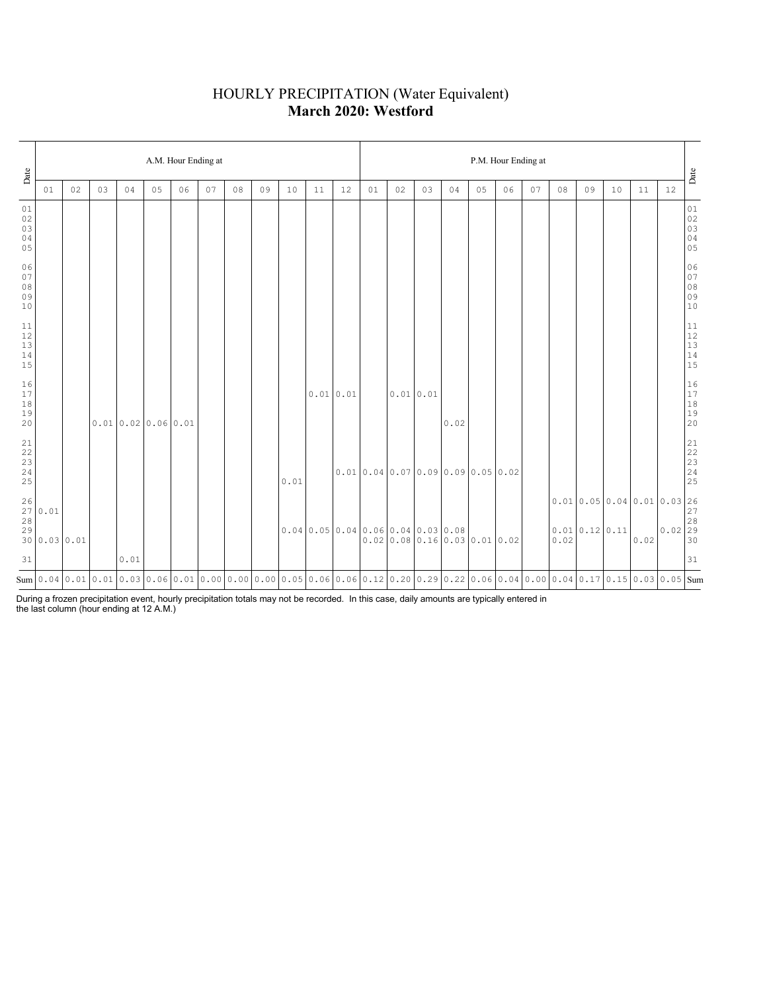### HOURLY PRECIPITATION (Water Equivalent) **March 2020: Westford**

| Date                                                      |                      |    |    |      |                  | A.M. Hour Ending at                                                                                                                  |    |    |    |      |          |    |                                                                    |           |    |                                 |    | P.M. Hour Ending at |    |    |    |    |                                                                                                                                           |    | Date                                                      |
|-----------------------------------------------------------|----------------------|----|----|------|------------------|--------------------------------------------------------------------------------------------------------------------------------------|----|----|----|------|----------|----|--------------------------------------------------------------------|-----------|----|---------------------------------|----|---------------------|----|----|----|----|-------------------------------------------------------------------------------------------------------------------------------------------|----|-----------------------------------------------------------|
|                                                           | 01                   | 02 | 03 | 04   | 05               | 06                                                                                                                                   | 07 | 08 | 09 | 10   | 11       | 12 | 01                                                                 | 02        | 03 | 04                              | 05 | 06                  | 07 | 08 | 09 | 10 | 11                                                                                                                                        | 12 |                                                           |
| 01<br>02<br>03<br>04<br>05                                |                      |    |    |      |                  |                                                                                                                                      |    |    |    |      |          |    |                                                                    |           |    |                                 |    |                     |    |    |    |    |                                                                                                                                           |    | $0\,1$<br>$02$<br>03<br>03<br>04<br>05                    |
| 06<br>07<br>08<br>09<br>10                                |                      |    |    |      |                  |                                                                                                                                      |    |    |    |      |          |    |                                                                    |           |    |                                 |    |                     |    |    |    |    |                                                                                                                                           |    | 06<br>07<br>08<br>09<br>09<br>10                          |
| 11<br>12<br>13<br>14<br>15                                |                      |    |    |      |                  |                                                                                                                                      |    |    |    |      |          |    |                                                                    |           |    |                                 |    |                     |    |    |    |    |                                                                                                                                           |    | $\begin{array}{c} 11 \\ 12 \\ 13 \\ 14 \\ 15 \end{array}$ |
| 16<br>17<br>18<br>19<br>20                                |                      |    |    |      | 0.010.020.060.01 |                                                                                                                                      |    |    |    |      | 0.010.01 |    |                                                                    | 0.01 0.01 |    | 0.02                            |    |                     |    |    |    |    |                                                                                                                                           |    | 16<br>17<br>18<br>19<br>19<br>20                          |
| $\begin{array}{c} 21 \\ 22 \end{array}$<br>23<br>24<br>25 |                      |    |    |      |                  |                                                                                                                                      |    |    |    | 0.01 |          |    | $0.01$ 0.04 0.07 0.09 0.09 0.05 0.02                               |           |    |                                 |    |                     |    |    |    |    |                                                                                                                                           |    |                                                           |
| 26<br>27<br>28<br>29                                      | 0.01<br>30 0.03 0.01 |    |    |      |                  |                                                                                                                                      |    |    |    |      |          |    | $0.04 \mid 0.05 \mid 0.04 \mid 0.06 \mid 0.04 \mid 0.03 \mid 0.08$ |           |    | $0.02$ 0.08 0.16 0.03 0.01 0.02 |    |                     |    |    |    |    | $\begin{bmatrix} 0.01 & 0.05 & 0.04 & 0.01 & 0.03 & 26 \\ 0.01 & 0.12 & 0.11 & 0.02 & 29 \\ 0.02 & 0.12 & 0.02 & 0.02 & 30 \end{bmatrix}$ |    |                                                           |
| 31                                                        |                      |    |    | 0.01 |                  |                                                                                                                                      |    |    |    |      |          |    |                                                                    |           |    |                                 |    |                     |    |    |    |    |                                                                                                                                           |    | 31                                                        |
|                                                           |                      |    |    |      |                  | Sum 0.04 0.01 0.01 0.03 0.06 0.01 0.00 0.00 0.00 0.05 0.06 0.06 0.06 0.12 0.20 0.29 0.22 0.06 0.04 0.00 0.04 0.17 0.15 0.03 0.05 Sum |    |    |    |      |          |    |                                                                    |           |    |                                 |    |                     |    |    |    |    |                                                                                                                                           |    |                                                           |

During a frozen precipitation event, hourly precipitation totals may not be recorded. In this case, daily amounts are typically entered in the last column (hour ending at 12 A.M.)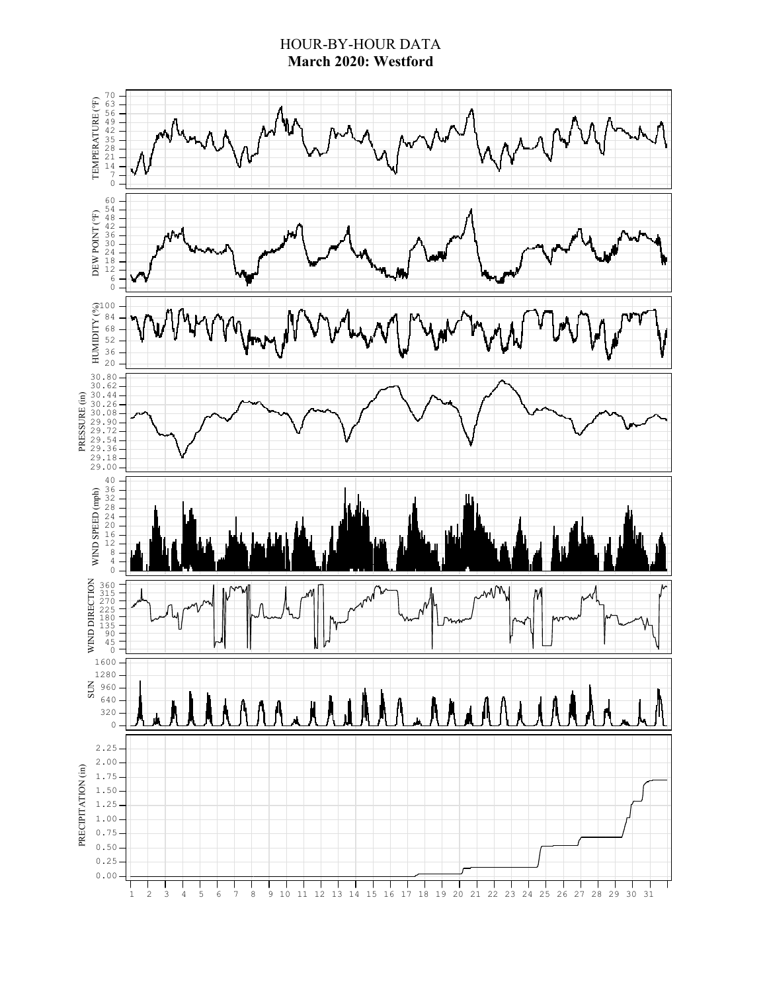### HOUR-BY-HOUR DATA **March 2020: Westford**